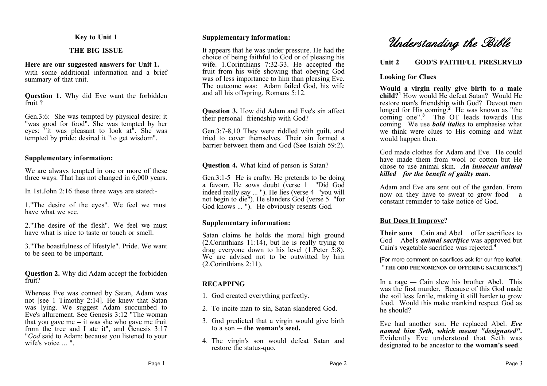## **Key to Unit 1**

# **THE BIG ISSUE**

## **Here are our suggested answers for Unit 1.**

with some additional information and a brief summary of that unit.

**Question 1.** Why did Eve want the forbidden fruit ?

Gen.3:6: She was tempted by physical desire: it "was good for food". She was tempted by her eyes: "it was pleasant to look at". She was tempted by pride: desired it "to get wisdom".

## **Supplementary information:**

We are always tempted in one or more of these three ways. That has not changed in 6,000 years.

In 1st.John 2:16 these three ways are stated:-

1."The desire of the eyes". We feel we must have what we see.

2."The desire of the flesh". We feel we must have what is nice to taste or touch or smell.

3."The boastfulness of lifestyle". Pride. We want to be seen to be important.

**Question 2.** Why did Adam accept the forbidden fruit?

Whereas Eve was conned by Satan, Adam was not [see 1 Timothy 2:14]. He knew that Satan was lying. We suggest Adam succumbed to Eve's allurement. See Genesis 3:12 "The woman that you gave me  $-$  it was she who gave me fruit from the tree and I ate it", and Genesis 3:17 "*God* said to Adam: because you listened to your wife's voice ... ".

## **Supplementary information:**

It appears that he was under pressure. He had the choice of being faithful to God or of pleasing his wife. 1. Corinthians 7:32-33. He accepted the fruit from his wife showing that obeying God was of less importance to him than pleasing Eve. The outcome was: Adam failed God, his wife and all his offspring. Romans 5:12.

**Question 3.** How did Adam and Eve's sin affect their personal friendship with God?

Gen.3:7-8,10 They were riddled with guilt. and tried to cover themselves. Their sin formed a barrier between them and God (See Isaiah 59:2).

**Question 4.** What kind of person is Satan?

Gen.3:1-5 He is crafty. He pretends to be doing a favour. He sows doubt (verse 1 "Did God indeed really say ... "). He lies (verse 4 "you will not begin to die"). He slanders God (verse 5 "for God knows ... "). He obviously resents God.

# **Supplementary information:**

Satan claims he holds the moral high ground (2.Corinthians 11:14), but he is really trying to drag everyone down to his level  $(1.$  Peter  $\overline{5.8}$ ). We are advised not to be outwitted by him (2.Corinthians 2:11).

# **RECAPPING**

1. God created everything perfectly.

- 2. To incite man to sin, Satan slandered God.
- 3. God predicted that a virgin would give birth to  $a \sin - f$  the woman's seed.
- 4. The virgin's son would defeat Satan and restore the status-quo.

# **Unit 2 GOD'S FAITHFUL PRESERVED**

# **Looking for Clues**

**Would a virgin really give birth to a male child?<sup>1</sup>** How would He defeat Satan? Would He restore man's friendship with God? Devout men longed for His coming.**<sup>2</sup>** He was known as "the coming one".**<sup>3</sup>** The OT leads towards His coming. We use *bold italics* to emphasise what we think were clues to His coming and what would happen then.

God made clothes for Adam and Eve. He could have made them from wool or cotton but He chose to use animal skin. *An innocent animal killed for the benefit of guilty man*.

Adam and Eve are sent out of the garden. From now on they have to sweat to grow food a constant reminder to take notice of God.

# **But Does It Improve?**

**Their sons** – Cain and Abel – offer sacrifices to God Abel's *animal sacrifice* was approved but Cain's vegetable sacrifice was rejected.**<sup>4</sup>**

[For more comment on sacrifices ask for our free leaflet: "**THE ODD PHENOMENON OF OFFERING SACRIFICES.**"]

In a rage  $-$  Cain slew his brother Abel. This was the first murder. Because of this God made the soil less fertile, making it still harder to grow food. Would this make mankind respect God as he should?

Eve had another son. He replaced Abel. *Eve named him Seth, which meant "designated"***.** Evidently Eve understood that Seth was designated to be ancestor to **the woman's seed**.